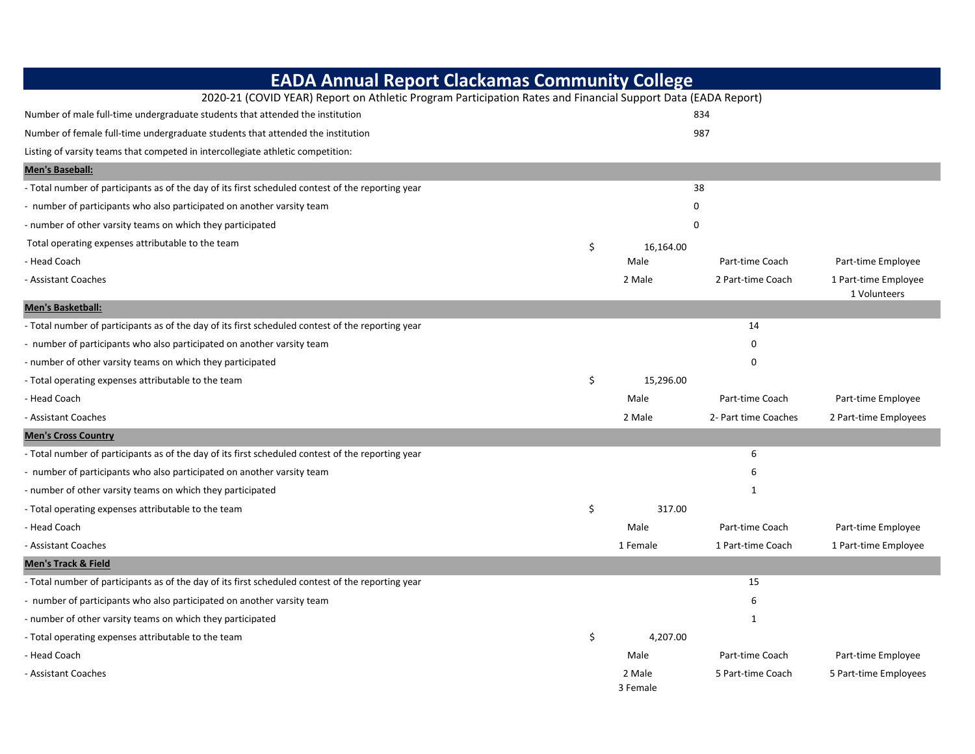| <b>EADA Annual Report Clackamas Community College</b>                                                        |    |                    |                      |                                      |
|--------------------------------------------------------------------------------------------------------------|----|--------------------|----------------------|--------------------------------------|
| 2020-21 (COVID YEAR) Report on Athletic Program Participation Rates and Financial Support Data (EADA Report) |    |                    |                      |                                      |
| Number of male full-time undergraduate students that attended the institution                                |    |                    | 834                  |                                      |
| Number of female full-time undergraduate students that attended the institution                              |    |                    | 987                  |                                      |
| Listing of varsity teams that competed in intercollegiate athletic competition:                              |    |                    |                      |                                      |
| <b>Men's Baseball:</b>                                                                                       |    |                    |                      |                                      |
| - Total number of participants as of the day of its first scheduled contest of the reporting year            |    |                    | 38                   |                                      |
| number of participants who also participated on another varsity team                                         |    | 0                  |                      |                                      |
| - number of other varsity teams on which they participated                                                   | 0  |                    |                      |                                      |
| Total operating expenses attributable to the team                                                            | \$ | 16,164.00          |                      |                                      |
| - Head Coach                                                                                                 |    | Male               | Part-time Coach      | Part-time Employee                   |
| - Assistant Coaches                                                                                          |    | 2 Male             | 2 Part-time Coach    | 1 Part-time Employee<br>1 Volunteers |
| Men's Basketball:                                                                                            |    |                    |                      |                                      |
| - Total number of participants as of the day of its first scheduled contest of the reporting year            |    |                    | 14                   |                                      |
| number of participants who also participated on another varsity team                                         |    |                    | 0                    |                                      |
| - number of other varsity teams on which they participated                                                   |    |                    | 0                    |                                      |
| - Total operating expenses attributable to the team                                                          | \$ | 15,296.00          |                      |                                      |
| - Head Coach                                                                                                 |    | Male               | Part-time Coach      | Part-time Employee                   |
| - Assistant Coaches                                                                                          |    | 2 Male             | 2- Part time Coaches | 2 Part-time Employees                |
| <b>Men's Cross Country</b>                                                                                   |    |                    |                      |                                      |
| - Total number of participants as of the day of its first scheduled contest of the reporting year            |    |                    | 6                    |                                      |
| - number of participants who also participated on another varsity team                                       |    |                    | 6                    |                                      |
| - number of other varsity teams on which they participated                                                   |    |                    | 1                    |                                      |
| - Total operating expenses attributable to the team                                                          | \$ | 317.00             |                      |                                      |
| - Head Coach                                                                                                 |    | Male               | Part-time Coach      | Part-time Employee                   |
| - Assistant Coaches                                                                                          |    | 1 Female           | 1 Part-time Coach    | 1 Part-time Employee                 |
| <b>Men's Track &amp; Field</b>                                                                               |    |                    |                      |                                      |
| - Total number of participants as of the day of its first scheduled contest of the reporting year            |    |                    | 15                   |                                      |
| - number of participants who also participated on another varsity team                                       |    |                    | 6                    |                                      |
| - number of other varsity teams on which they participated                                                   |    |                    | $\mathbf{1}$         |                                      |
| - Total operating expenses attributable to the team                                                          | \$ | 4,207.00           |                      |                                      |
| - Head Coach                                                                                                 |    | Male               | Part-time Coach      | Part-time Employee                   |
| - Assistant Coaches                                                                                          |    | 2 Male<br>3 Female | 5 Part-time Coach    | 5 Part-time Employees                |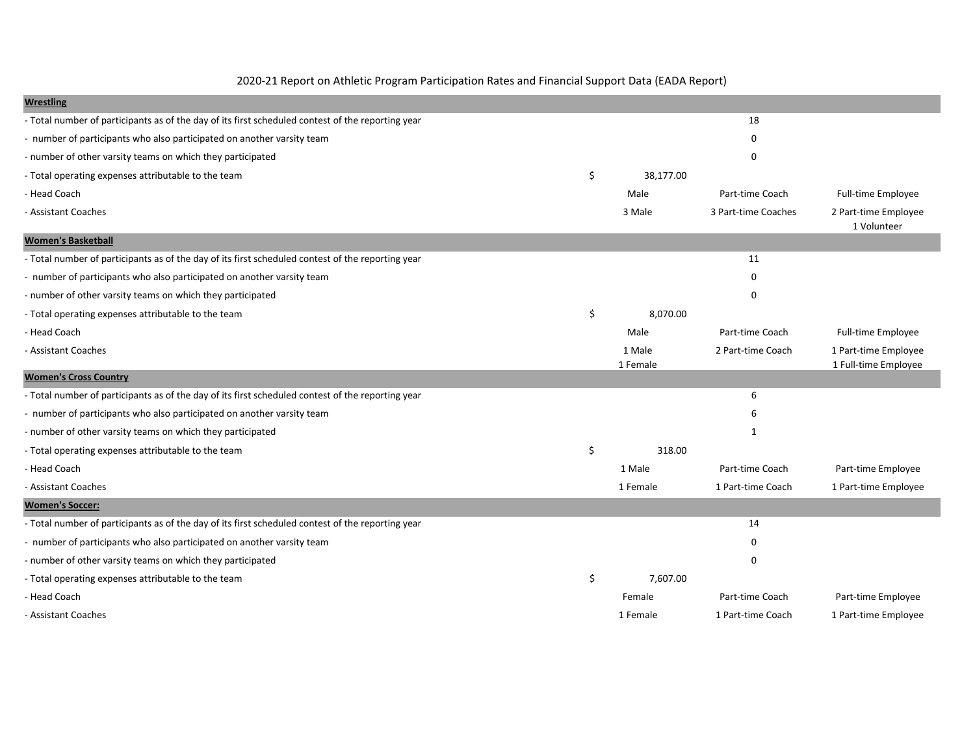2020-21 Report on Athletic Program Participation Rates and Financial Support Data (EADA Report)

| <b>Wrestling</b>                                                                                  |                    |                     |                                              |
|---------------------------------------------------------------------------------------------------|--------------------|---------------------|----------------------------------------------|
| - Total number of participants as of the day of its first scheduled contest of the reporting year |                    | 18                  |                                              |
| - number of participants who also participated on another varsity team                            |                    | $\Omega$            |                                              |
| - number of other varsity teams on which they participated                                        |                    | $\Omega$            |                                              |
| - Total operating expenses attributable to the team                                               | \$<br>38,177.00    |                     |                                              |
| - Head Coach                                                                                      | Male               | Part-time Coach     | <b>Full-time Employee</b>                    |
| - Assistant Coaches                                                                               | 3 Male             | 3 Part-time Coaches | 2 Part-time Employee<br>1 Volunteer          |
| <b>Women's Basketball</b>                                                                         |                    |                     |                                              |
| - Total number of participants as of the day of its first scheduled contest of the reporting year |                    | 11                  |                                              |
| - number of participants who also participated on another varsity team                            |                    | $\Omega$            |                                              |
| - number of other varsity teams on which they participated                                        |                    | $\Omega$            |                                              |
| - Total operating expenses attributable to the team                                               | \$<br>8,070.00     |                     |                                              |
| - Head Coach                                                                                      | Male               | Part-time Coach     | <b>Full-time Employee</b>                    |
| - Assistant Coaches                                                                               | 1 Male<br>1 Female | 2 Part-time Coach   | 1 Part-time Employee<br>1 Full-time Employee |
| <b>Women's Cross Country</b>                                                                      |                    |                     |                                              |
| - Total number of participants as of the day of its first scheduled contest of the reporting year |                    | 6                   |                                              |
| - number of participants who also participated on another varsity team                            |                    | 6                   |                                              |
| - number of other varsity teams on which they participated                                        |                    | 1                   |                                              |
| - Total operating expenses attributable to the team                                               | \$<br>318.00       |                     |                                              |
| - Head Coach                                                                                      | 1 Male             | Part-time Coach     | Part-time Employee                           |
| - Assistant Coaches                                                                               | 1 Female           | 1 Part-time Coach   | 1 Part-time Employee                         |
| <b>Women's Soccer:</b>                                                                            |                    |                     |                                              |
| - Total number of participants as of the day of its first scheduled contest of the reporting year |                    | 14                  |                                              |
| - number of participants who also participated on another varsity team                            |                    | $\Omega$            |                                              |
| - number of other varsity teams on which they participated                                        |                    | $\Omega$            |                                              |
| - Total operating expenses attributable to the team                                               | \$<br>7,607.00     |                     |                                              |
| - Head Coach                                                                                      | Female             | Part-time Coach     | Part-time Employee                           |
| - Assistant Coaches                                                                               | 1 Female           | 1 Part-time Coach   | 1 Part-time Employee                         |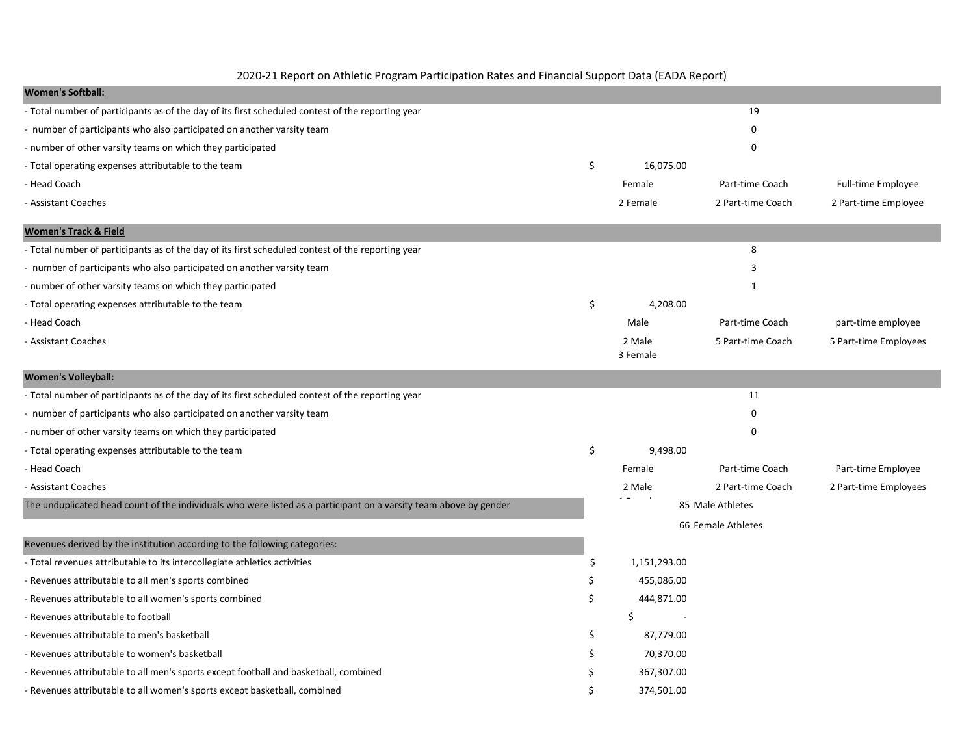2020-21 Report on Athletic Program Participation Rates and Financial Support Data (EADA Report)

| <b>Women's Softball:</b>                                                                                          |     |                    |                    |                       |
|-------------------------------------------------------------------------------------------------------------------|-----|--------------------|--------------------|-----------------------|
| - Total number of participants as of the day of its first scheduled contest of the reporting year                 |     |                    | 19                 |                       |
| - number of participants who also participated on another varsity team                                            |     |                    | 0                  |                       |
| - number of other varsity teams on which they participated                                                        |     |                    | $\mathbf 0$        |                       |
| - Total operating expenses attributable to the team                                                               | \$  | 16,075.00          |                    |                       |
| - Head Coach                                                                                                      |     | Female             | Part-time Coach    | Full-time Employee    |
| - Assistant Coaches                                                                                               |     | 2 Female           | 2 Part-time Coach  | 2 Part-time Employee  |
| <b>Women's Track &amp; Field</b>                                                                                  |     |                    |                    |                       |
| - Total number of participants as of the day of its first scheduled contest of the reporting year                 |     |                    | 8                  |                       |
| - number of participants who also participated on another varsity team                                            |     |                    | 3                  |                       |
| - number of other varsity teams on which they participated                                                        |     |                    | $\mathbf{1}$       |                       |
| - Total operating expenses attributable to the team                                                               | \$  | 4,208.00           |                    |                       |
| - Head Coach                                                                                                      |     | Male               | Part-time Coach    | part-time employee    |
| - Assistant Coaches                                                                                               |     | 2 Male<br>3 Female | 5 Part-time Coach  | 5 Part-time Employees |
| <b>Women's Volleyball:</b>                                                                                        |     |                    |                    |                       |
| - Total number of participants as of the day of its first scheduled contest of the reporting year                 |     |                    | 11                 |                       |
| - number of participants who also participated on another varsity team                                            |     |                    | 0                  |                       |
| - number of other varsity teams on which they participated                                                        |     |                    | $\Omega$           |                       |
| - Total operating expenses attributable to the team                                                               | \$  | 9,498.00           |                    |                       |
| - Head Coach                                                                                                      |     | Female             | Part-time Coach    | Part-time Employee    |
| - Assistant Coaches                                                                                               |     | 2 Male             | 2 Part-time Coach  | 2 Part-time Employees |
| The unduplicated head count of the individuals who were listed as a participant on a varsity team above by gender |     |                    | 85 Male Athletes   |                       |
|                                                                                                                   |     |                    | 66 Female Athletes |                       |
| Revenues derived by the institution according to the following categories:                                        |     |                    |                    |                       |
| - Total revenues attributable to its intercollegiate athletics activities                                         | \$  | 1,151,293.00       |                    |                       |
| - Revenues attributable to all men's sports combined                                                              |     | 455,086.00         |                    |                       |
| - Revenues attributable to all women's sports combined                                                            | Ś   | 444,871.00         |                    |                       |
| - Revenues attributable to football                                                                               |     | \$                 |                    |                       |
| - Revenues attributable to men's basketball                                                                       | \$. | 87,779.00          |                    |                       |
| - Revenues attributable to women's basketball                                                                     |     | 70,370.00          |                    |                       |
| - Revenues attributable to all men's sports except football and basketball, combined                              |     | 367,307.00         |                    |                       |
| - Revenues attributable to all women's sports except basketball, combined                                         |     | 374,501.00         |                    |                       |